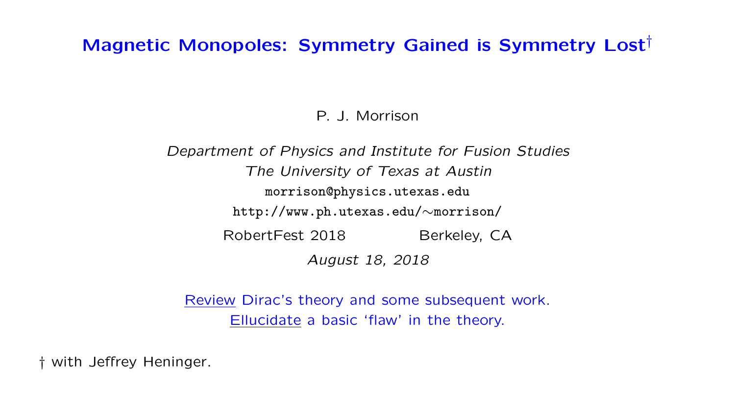# Magnetic Monopoles: Symmetry Gained is Symmetry Lost†

P. J. Morrison

Department of Physics and Institute for Fusion Studies The University of Texas at Austin morrison@physics.utexas.edu http://www.ph.utexas.edu/∼morrison/ RobertFest 2018 Berkeley, CA August 18, 2018

Review Dirac's theory and some subsequent work. Ellucidate a basic 'flaw' in the theory.

† with Jeffrey Heninger.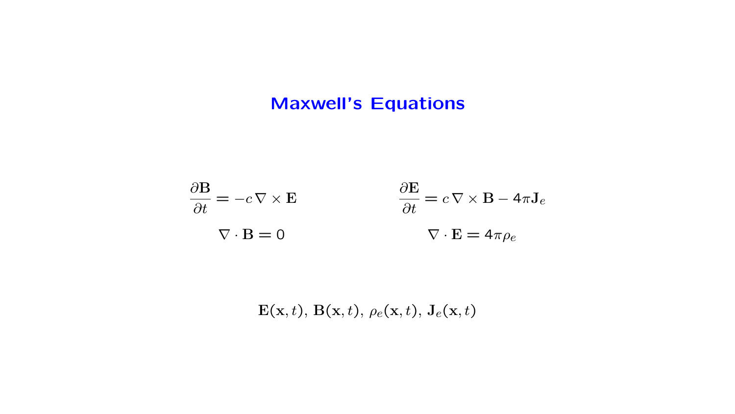# Maxwell's Equations

$$
\frac{\partial \mathbf{B}}{\partial t} = -c \nabla \times \mathbf{E}
$$

$$
\frac{\partial \mathbf{E}}{\partial t} = c \nabla \times \mathbf{B} - 4\pi \mathbf{J}_e
$$

$$
\nabla \cdot \mathbf{B} = 0
$$

$$
\nabla \cdot \mathbf{E} = 4\pi \rho_e
$$

 $\mathbf{E}(\mathbf{x},t)$ ,  $\mathbf{B}(\mathbf{x},t)$ ,  $\rho_e(\mathbf{x},t)$ ,  $\mathbf{J}_e(\mathbf{x},t)$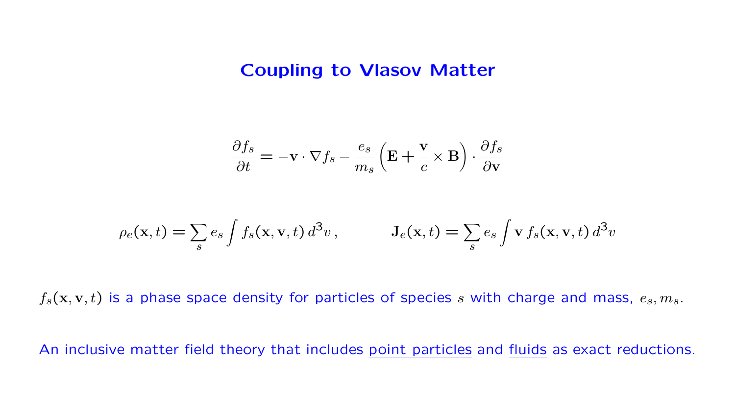### Coupling to Vlasov Matter

$$
\frac{\partial f_s}{\partial t} = -\mathbf{v} \cdot \nabla f_s - \frac{e_s}{m_s} \left( \mathbf{E} + \frac{\mathbf{v}}{c} \times \mathbf{B} \right) \cdot \frac{\partial f_s}{\partial \mathbf{v}}
$$

$$
\rho_e(\mathbf{x},t) = \sum_s e_s \int f_s(\mathbf{x}, \mathbf{v},t) d^3v, \qquad \mathbf{J}_e(\mathbf{x},t) = \sum_s e_s \int \mathbf{v} f_s(\mathbf{x}, \mathbf{v},t) d^3v
$$

 $f_s(\mathbf{x}, \mathbf{v}, t)$  is a phase space density for particles of species s with charge and mass,  $e_s, m_s$ .

An inclusive matter field theory that includes point particles and fluids as exact reductions.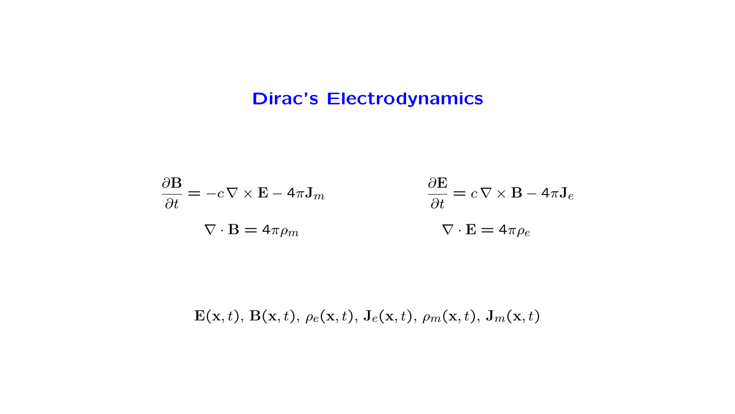# Dirac's Electrodynamics

$$
\frac{\partial \mathbf{B}}{\partial t} = -c \nabla \times \mathbf{E} - 4\pi \mathbf{J}_m
$$

$$
\frac{\partial \mathbf{E}}{\partial t} = c \nabla \times \mathbf{B} - 4\pi \mathbf{J}_e
$$

$$
\nabla \cdot \mathbf{B} = 4\pi \rho_m
$$

$$
\nabla \cdot \mathbf{E} = 4\pi \rho_e
$$

 $\mathbf{E}(\mathbf{x},t)$ ,  $\mathbf{B}(\mathbf{x},t)$ ,  $\rho_e(\mathbf{x},t)$ ,  $\mathbf{J}_e(\mathbf{x},t)$ ,  $\rho_m(\mathbf{x},t)$ ,  $\mathbf{J}_m(\mathbf{x},t)$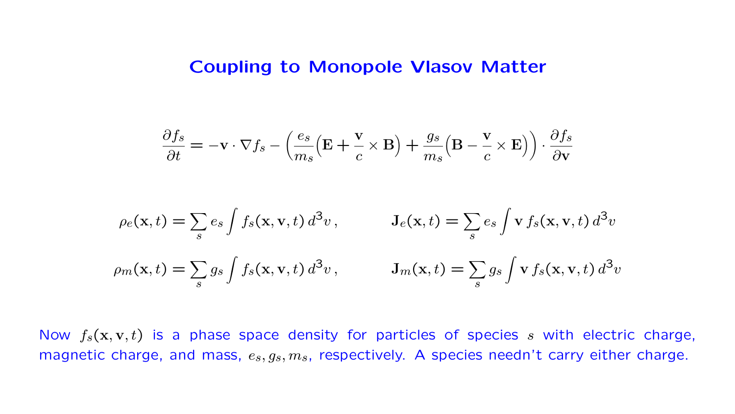#### Coupling to Monopole Vlasov Matter

$$
\frac{\partial f_s}{\partial t} = -\mathbf{v} \cdot \nabla f_s - \left(\frac{e_s}{m_s} \left(\mathbf{E} + \frac{\mathbf{v}}{c} \times \mathbf{B}\right) + \frac{g_s}{m_s} \left(\mathbf{B} - \frac{\mathbf{v}}{c} \times \mathbf{E}\right)\right) \cdot \frac{\partial f_s}{\partial \mathbf{v}}
$$
  
\n
$$
\rho_e(\mathbf{x}, t) = \sum_s e_s \int f_s(\mathbf{x}, \mathbf{v}, t) d^3v, \qquad \mathbf{J}_e(\mathbf{x}, t) = \sum_s e_s \int \mathbf{v} f_s(\mathbf{x}, \mathbf{v}, t) d^3v
$$
  
\n
$$
\rho_m(\mathbf{x}, t) = \sum_s g_s \int f_s(\mathbf{x}, \mathbf{v}, t) d^3v, \qquad \mathbf{J}_m(\mathbf{x}, t) = \sum_s g_s \int \mathbf{v} f_s(\mathbf{x}, \mathbf{v}, t) d^3v
$$

Now  $f_s(x, y, t)$  is a phase space density for particles of species s with electric charge, magnetic charge, and mass,  $e_s, g_s, m_s$ , respectively. A species needn't carry either charge.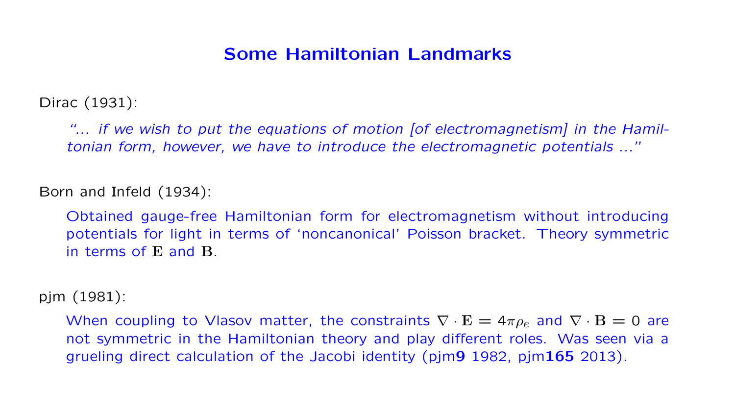## Some Hamiltonian Landmarks

Dirac (1931):

"... if we wish to put the equations of motion [of electromagnetism] in the Hamiltonian form, however, we have to introduce the electromagnetic potentials ..."

Born and Infeld (1934):

Obtained gauge-free Hamiltonian form for electromagnetism without introducing potentials for light in terms of 'noncanonical' Poisson bracket. Theory symmetric in terms of E and B.

pjm (1981):

When coupling to Vlasov matter, the constraints  $\nabla \cdot \mathbf{E} = 4\pi \rho_e$  and  $\nabla \cdot \mathbf{B} = 0$  are not symmetric in the Hamiltonian theory and play different roles. Was seen via a grueling direct calculation of the Jacobi identity (pjm9 1982, pjm165 2013).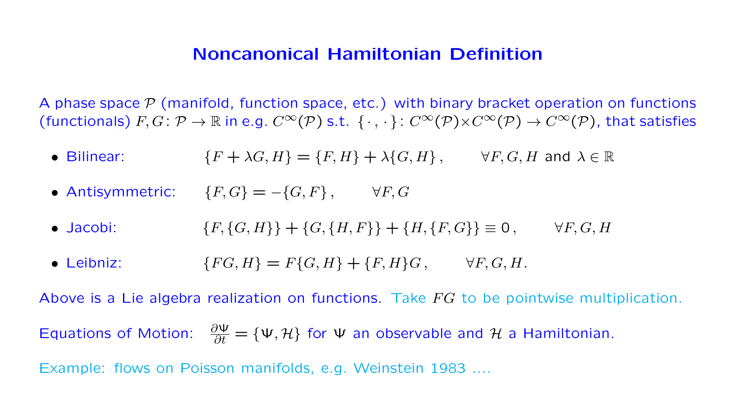### Noncanonical Hamiltonian Definition

A phase space  $\mathcal P$  (manifold, function space, etc.) with binary bracket operation on functions (functionals)  $F, G: \mathcal{P} \to \mathbb{R}$  in e.g.  $C^{\infty}(\mathcal{P})$  s.t.  $\{\cdot, \cdot\}: C^{\infty}(\mathcal{P}) \times C^{\infty}(\mathcal{P}) \to C^{\infty}(\mathcal{P})$ , that satisfies

- Bilinear:  $\{F+\lambda G,H\}=\{F,H\}+\lambda\{G,H\}, \qquad \forall F,G,H \text{ and } \lambda \in \mathbb{R}$
- Antisymmetric:  ${F, G} = -{G, F}$ ,  $\forall F, G$
- Jacobi:  ${F, {G, H}} + {G, {H, F}} + {H, {F, G}} \equiv 0$ ,  $\forall F, G, H$
- Leibniz:  $\{FG, H\} = F\{G, H\} + \{F, H\}G, \quad \forall F, G, H.$

Above is a Lie algebra realization on functions. Take  $FG$  to be pointwise multiplication. Equations of Motion:  $\frac{\partial \Psi}{\partial t} = {\Psi, \mathcal{H}}$  for  $\Psi$  an observable and  $\mathcal{H}$  a Hamiltonian. Example: flows on Poisson manifolds, e.g. Weinstein 1983 ....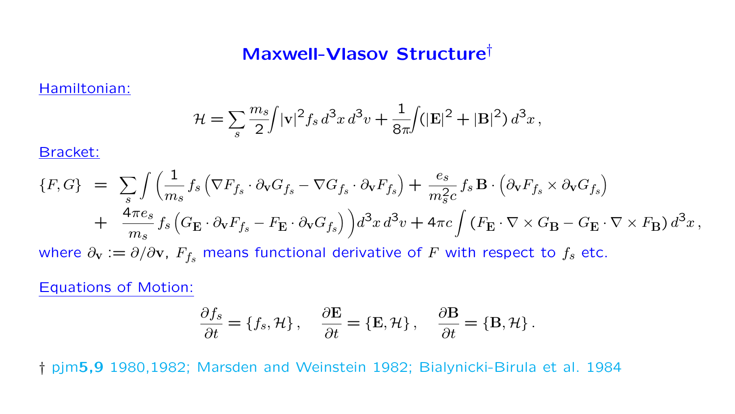# Maxwell-Vlasov Structure†

Hamiltonian:

$$
\mathcal{H} = \sum_{s} \frac{m_s}{2} \int |v|^2 f_s d^3x d^3v + \frac{1}{8\pi} \int (|\mathbf{E}|^2 + |\mathbf{B}|^2) d^3x,
$$

Bracket:

$$
\{F, G\} = \sum_{s} \int \left( \frac{1}{m_s} f_s \left( \nabla F_{f_s} \cdot \partial_{\mathbf{v}} G_{f_s} - \nabla G_{f_s} \cdot \partial_{\mathbf{v}} F_{f_s} \right) + \frac{e_s}{m_s^2 c} f_s \mathbf{B} \cdot \left( \partial_{\mathbf{v}} F_{f_s} \times \partial_{\mathbf{v}} G_{f_s} \right) \right. \\
\left. + \frac{4 \pi e_s}{m_s} f_s \left( G_{\mathbf{E}} \cdot \partial_{\mathbf{v}} F_{f_s} - F_{\mathbf{E}} \cdot \partial_{\mathbf{v}} G_{f_s} \right) \right) d^3 x \, d^3 v + 4 \pi c \int \left( F_{\mathbf{E}} \cdot \nabla \times G_{\mathbf{B}} - G_{\mathbf{E}} \cdot \nabla \times F_{\mathbf{B}} \right) d^3 x \,,
$$
\nwhere  $\partial_{\mathbf{v}} := \partial / \partial \mathbf{v}$ ,  $F_{f_s}$  means functional derivative of  $F$  with respect to  $f_s$  etc.

Equations of Motion:

$$
\frac{\partial f_s}{\partial t} = \{f_s, \mathcal{H}\}, \quad \frac{\partial \mathbf{E}}{\partial t} = \{\mathbf{E}, \mathcal{H}\}, \quad \frac{\partial \mathbf{B}}{\partial t} = \{\mathbf{B}, \mathcal{H}\}.
$$

† pjm5,9 1980,1982; Marsden and Weinstein 1982; Bialynicki-Birula et al. 1984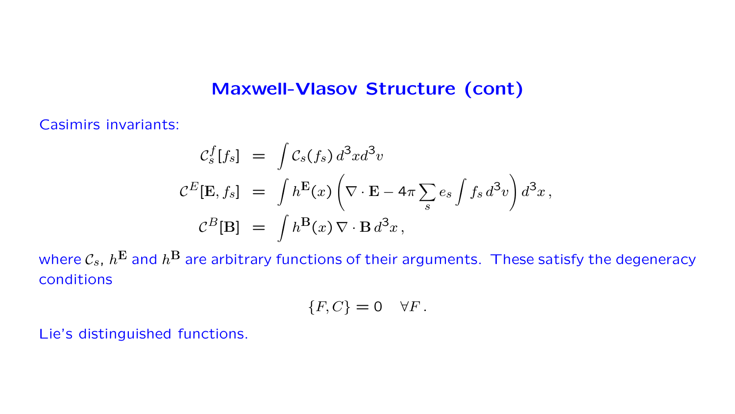### Maxwell-Vlasov Structure (cont)

Casimirs invariants:

$$
\mathcal{C}_s^f[f_s] = \int \mathcal{C}_s(f_s) d^3x d^3v
$$
  

$$
\mathcal{C}^E[\mathbf{E}, f_s] = \int h^{\mathbf{E}}(x) \left( \nabla \cdot \mathbf{E} - 4\pi \sum_s e_s \int f_s d^3v \right) d^3x,
$$
  

$$
\mathcal{C}^B[\mathbf{B}] = \int h^{\mathbf{B}}(x) \nabla \cdot \mathbf{B} d^3x,
$$

where  $\mathcal{C}_s$ ,  $h^{\mathbf{E}}$  and  $h^{\mathbf{B}}$  are arbitrary functions of their arguments. These satisfy the degeneracy conditions

$$
\{F,C\} = 0 \quad \forall F.
$$

Lie's distinguished functions.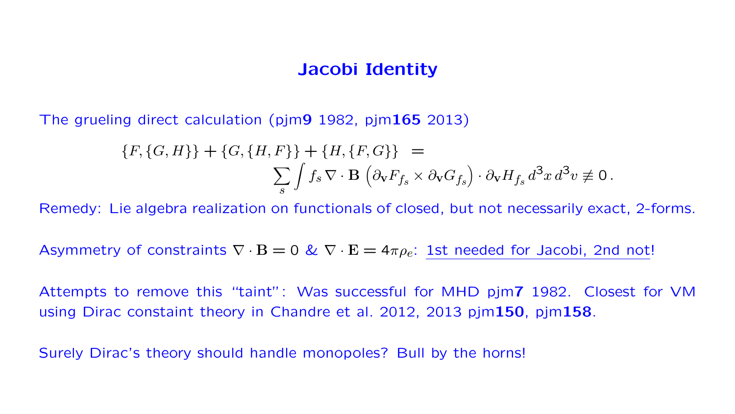### Jacobi Identity

The grueling direct calculation (pjm9 1982, pjm165 2013)

$$
\{F, \{G, H\}\} + \{G, \{H, F\}\} + \{H, \{F, G\}\} =
$$
  

$$
\sum_{s} \int f_s \nabla \cdot \mathbf{B} \left(\partial_{\mathbf{v}} F_{f_s} \times \partial_{\mathbf{v}} G_{f_s}\right) \cdot \partial_{\mathbf{v}} H_{f_s} d^3 x d^3 v \neq 0.
$$

Remedy: Lie algebra realization on functionals of closed, but not necessarily exact, 2-forms.

Asymmetry of constraints  $\nabla \cdot \mathbf{B} = 0$  &  $\nabla \cdot \mathbf{E} = 4\pi \rho_e$ : 1st needed for Jacobi, 2nd not!

Attempts to remove this "taint": Was successful for MHD pjm7 1982. Closest for VM using Dirac constaint theory in Chandre et al. 2012, 2013 pjm150, pjm158.

Surely Dirac's theory should handle monopoles? Bull by the horns!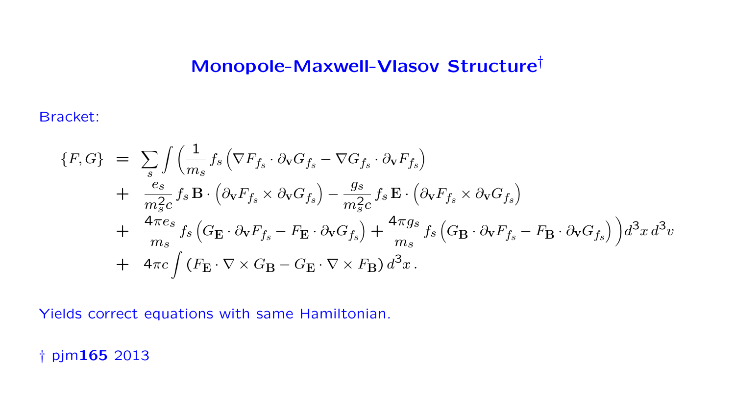# Monopole-Maxwell-Vlasov Structure†

Bracket:

$$
\{F, G\} = \sum_{s} \int \left( \frac{1}{m_s} f_s \left( \nabla F_{f_s} \cdot \partial \mathbf{v} G_{f_s} - \nabla G_{f_s} \cdot \partial \mathbf{v} F_{f_s} \right) \right. \\
\left. + \frac{e_s}{m_s^2 c} f_s \mathbf{B} \cdot \left( \partial \mathbf{v} F_{f_s} \times \partial \mathbf{v} G_{f_s} \right) - \frac{g_s}{m_s^2 c} f_s \mathbf{E} \cdot \left( \partial \mathbf{v} F_{f_s} \times \partial \mathbf{v} G_{f_s} \right) \right. \\
\left. + \frac{4 \pi e_s}{m_s} f_s \left( G_{\mathbf{E}} \cdot \partial \mathbf{v} F_{f_s} - F_{\mathbf{E}} \cdot \partial \mathbf{v} G_{f_s} \right) + \frac{4 \pi g_s}{m_s} f_s \left( G_{\mathbf{B}} \cdot \partial \mathbf{v} F_{f_s} - F_{\mathbf{B}} \cdot \partial \mathbf{v} G_{f_s} \right) \right) d^3x d^3v
$$
\n
$$
+ 4 \pi c \int \left( F_{\mathbf{E}} \cdot \nabla \times G_{\mathbf{B}} - G_{\mathbf{E}} \cdot \nabla \times F_{\mathbf{B}} \right) d^3x \,.
$$

Yields correct equations with same Hamiltonian.

† pjm165 2013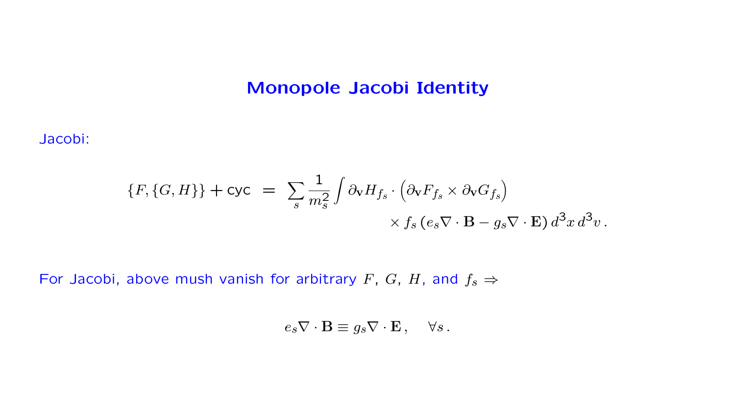## Monopole Jacobi Identity

Jacobi:

$$
\{F, \{G, H\}\} + \text{cyc} = \sum_{s} \frac{1}{m_s^2} \int \partial_{\mathbf{v}} H_{f_s} \cdot (\partial_{\mathbf{v}} F_{f_s} \times \partial_{\mathbf{v}} G_{f_s})
$$

$$
\times f_s (e_s \nabla \cdot \mathbf{B} - g_s \nabla \cdot \mathbf{E}) d^3 x d^3 v.
$$

For Jacobi, above mush vanish for arbitrary F, G, H, and  $f_s \Rightarrow$ 

$$
e_s \nabla \cdot \mathbf{B} \equiv g_s \nabla \cdot \mathbf{E} \,, \quad \forall s \,.
$$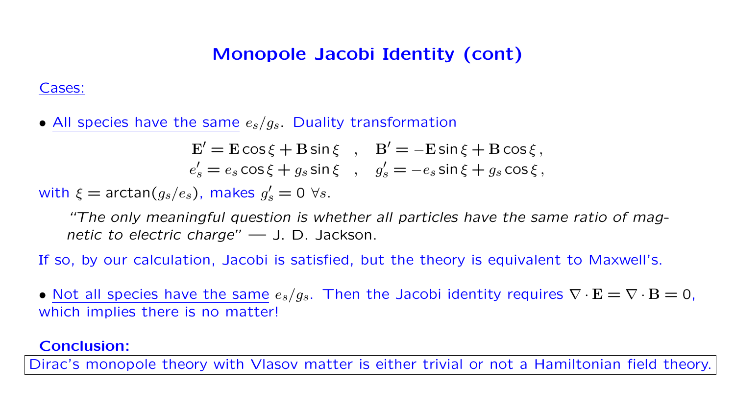# Monopole Jacobi Identity (cont)

#### Cases:

• All species have the same  $e_s/g_s$ . Duality transformation

$$
\mathbf{E}' = \mathbf{E}\cos\xi + \mathbf{B}\sin\xi \quad , \quad \mathbf{B}' = -\mathbf{E}\sin\xi + \mathbf{B}\cos\xi \,,
$$
  
\n
$$
e'_s = e_s\cos\xi + g_s\sin\xi \quad , \quad g'_s = -e_s\sin\xi + g_s\cos\xi \,,
$$

with  $\xi = \arctan(g_s/e_s)$ , makes  $g'_s = 0 \,\,\forall s$ .

"The only meaningful question is whether all particles have the same ratio of magnetic to electric charge" — J. D. Jackson.

If so, by our calculation, Jacobi is satisfied, but the theory is equivalent to Maxwell's.

• Not all species have the same  $e_s/g_s$ . Then the Jacobi identity requires  $\nabla \cdot \mathbf{E} = \nabla \cdot \mathbf{B} = 0$ , which implies there is no matter!

#### Conclusion:

Dirac's monopole theory with Vlasov matter is either trivial or not a Hamiltonian field theory.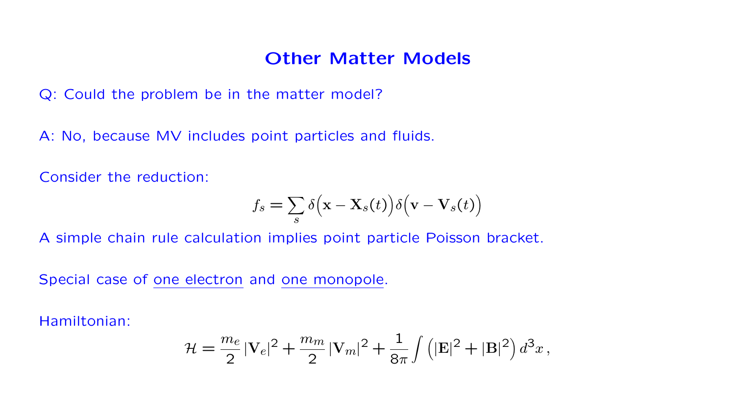### Other Matter Models

Q: Could the problem be in the matter model?

A: No, because MV includes point particles and fluids.

Consider the reduction:

$$
f_s = \sum_s \delta(\mathbf{x} - \mathbf{X}_s(t)) \delta(\mathbf{v} - \mathbf{V}_s(t))
$$

A simple chain rule calculation implies point particle Poisson bracket.

Special case of one electron and one monopole.

Hamiltonian:

$$
\mathcal{H} = \frac{m_e}{2} |V_e|^2 + \frac{m_m}{2} |V_m|^2 + \frac{1}{8\pi} \int (|\mathbf{E}|^2 + |\mathbf{B}|^2) d^3x,
$$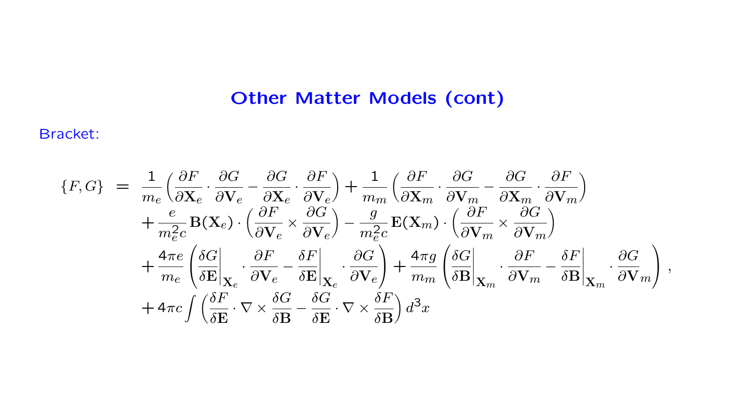# Other Matter Models (cont)

#### Bracket:

$$
\begin{split} \{F,G\} &= \frac{1}{m_e} \Big( \frac{\partial F}{\partial \mathbf{X}_e} \cdot \frac{\partial G}{\partial \mathbf{V}_e} - \frac{\partial G}{\partial \mathbf{X}_e} \cdot \frac{\partial F}{\partial \mathbf{V}_e} \Big) + \frac{1}{m_m} \Big( \frac{\partial F}{\partial \mathbf{X}_m} \cdot \frac{\partial G}{\partial \mathbf{V}_m} - \frac{\partial G}{\partial \mathbf{X}_m} \cdot \frac{\partial F}{\partial \mathbf{V}_m} \Big) \\ &+ \frac{e}{m_e^2 c} \mathbf{B}(\mathbf{X}_e) \cdot \Big( \frac{\partial F}{\partial \mathbf{V}_e} \times \frac{\partial G}{\partial \mathbf{V}_e} \Big) - \frac{g}{m_e^2 c} \mathbf{E}(\mathbf{X}_m) \cdot \Big( \frac{\partial F}{\partial \mathbf{V}_m} \times \frac{\partial G}{\partial \mathbf{V}_m} \Big) \\ &+ \frac{4\pi e}{m_e} \Big( \frac{\delta G}{\delta \mathbf{E}} \Big|_{\mathbf{X}_e} \cdot \frac{\partial F}{\partial \mathbf{V}_e} - \frac{\delta F}{\delta \mathbf{E}} \Big|_{\mathbf{X}_e} \cdot \frac{\partial G}{\partial \mathbf{V}_e} \Big) + \frac{4\pi g}{m_m} \Big( \frac{\delta G}{\delta \mathbf{B}} \Big|_{\mathbf{X}_m} \cdot \frac{\partial F}{\partial \mathbf{V}_m} - \frac{\delta F}{\delta \mathbf{B}} \Big|_{\mathbf{X}_m} \cdot \frac{\partial G}{\partial \mathbf{V}_m} \Big) , \\ &+ 4\pi c \int \Big( \frac{\delta F}{\delta \mathbf{E}} \cdot \nabla \times \frac{\delta G}{\delta \mathbf{B}} - \frac{\delta G}{\delta \mathbf{E}} \cdot \nabla \times \frac{\delta F}{\delta \mathbf{B}} \Big) d^3 x \end{split}
$$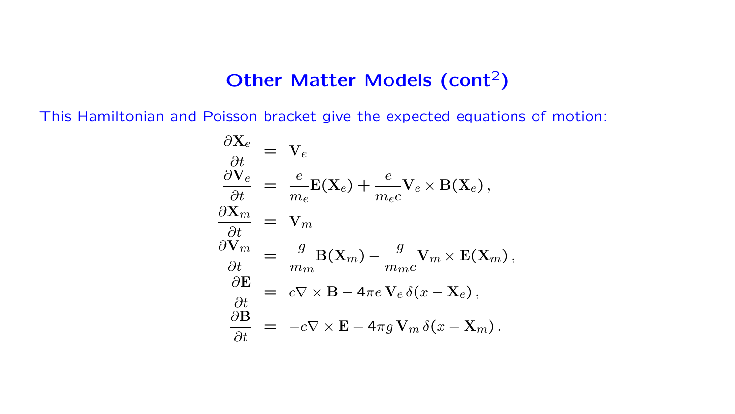# Other Matter Models (cont<sup>2</sup>)

This Hamiltonian and Poisson bracket give the expected equations of motion:

$$
\frac{\partial \mathbf{X}_e}{\partial t} = \mathbf{V}_e
$$
\n
$$
\frac{\partial \mathbf{X}_e}{\partial t} = \frac{e}{m_e} \mathbf{E}(\mathbf{X}_e) + \frac{e}{m_e c} \mathbf{V}_e \times \mathbf{B}(\mathbf{X}_e),
$$
\n
$$
\frac{\partial \mathbf{X}_m}{\partial t} = \mathbf{V}_m
$$
\n
$$
\frac{\partial \mathbf{V}_m}{\partial t} = \frac{g}{m_m} \mathbf{B}(\mathbf{X}_m) - \frac{g}{m_m c} \mathbf{V}_m \times \mathbf{E}(\mathbf{X}_m),
$$
\n
$$
\frac{\partial \mathbf{E}}{\partial t} = c \nabla \times \mathbf{B} - 4\pi e \mathbf{V}_e \delta(x - \mathbf{X}_e),
$$
\n
$$
\frac{\partial \mathbf{B}}{\partial t} = -c \nabla \times \mathbf{E} - 4\pi g \mathbf{V}_m \delta(x - \mathbf{X}_m).
$$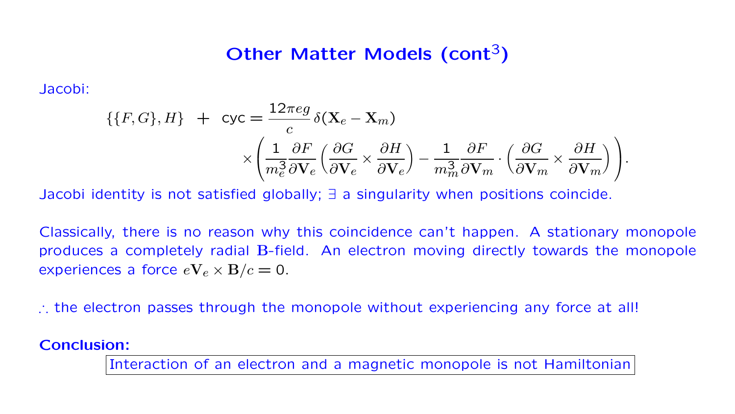## Other Matter Models (cont<sup>3</sup>)

Jacobi:

$$
\{\{F, G\}, H\} + \text{cyc} = \frac{12\pi eg}{c} \delta(\mathbf{X}_e - \mathbf{X}_m)
$$

$$
\times \left(\frac{1}{m_e^3} \frac{\partial F}{\partial \mathbf{V}_e} \left(\frac{\partial G}{\partial \mathbf{V}_e} \times \frac{\partial H}{\partial \mathbf{V}_e}\right) - \frac{1}{m_m^3} \frac{\partial F}{\partial \mathbf{V}_m} \cdot \left(\frac{\partial G}{\partial \mathbf{V}_m} \times \frac{\partial H}{\partial \mathbf{V}_m}\right)\right).
$$

Jacobi identity is not satisfied globally; ∃ a singularity when positions coincide.

Classically, there is no reason why this coincidence can't happen. A stationary monopole produces a completely radial B-field. An electron moving directly towards the monopole experiences a force  $eV_e \times B/c = 0$ .

∴ the electron passes through the monopole without experiencing any force at all!

#### Conclusion:

Interaction of an electron and a magnetic monopole is not Hamiltonian